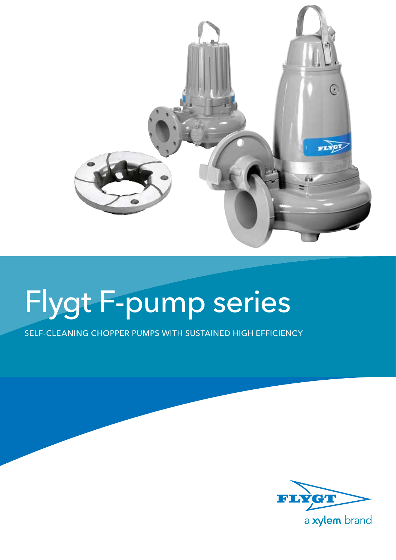

# Flygt F-pump series

Self-cleaning chopper pumps with sustained high efficiency

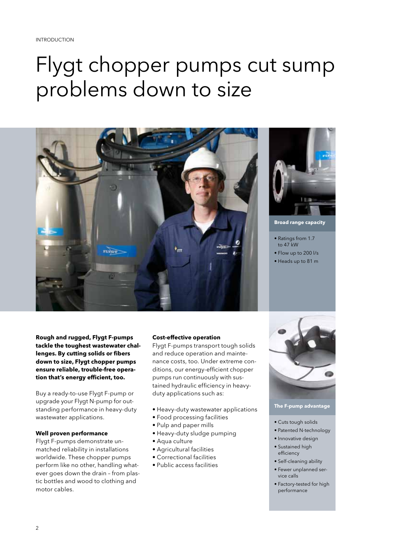## Flygt chopper pumps cut sump problems down to size



**Broad range capacity**

- Ratings from 1.7 to 47 kW
- Flow up to 200 l/s
- Heads up to 81 m

**Rough and rugged, Flygt F-pumps tackle the toughest wastewater challenges. By cutting solids or fibers down to size, Flygt chopper pumps ensure reliable, trouble-free operation that's energy efficient, too.**

Buy a ready-to-use Flygt F-pump or upgrade your Flygt N-pump for outstanding performance in heavy-duty wastewater applications.

## **Well proven performance**

Flygt F-pumps demonstrate unmatched reliability in installations worldwide. These chopper pumps perform like no other, handling whatever goes down the drain – from plastic bottles and wood to clothing and motor cables.

## **Cost-effective operation**

Flygt F-pumps transport tough solids and reduce operation and maintenance costs, too. Under extreme conditions, our energy-efficient chopper pumps run continuously with sustained hydraulic efficiency in heavyduty applications such as:

- Heavy-duty wastewater applications
- Food processing facilities
- Pulp and paper mills
- Heavy-duty sludge pumping
- Aqua culture
- Agricultural facilities
- Correctional facilities
- Public access facilities



## **The F-pump advantage**

- Cuts tough solids
- Patented N-technology
- Innovative design
- Sustained high efficiency
- Self-cleaning ability
- Fewer unplanned service calls
- Factory-tested for high performance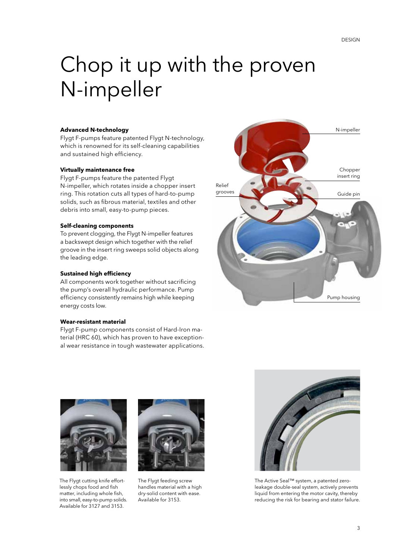## Chop it up with the proven N-impeller

Flygt F-pumps feature patented Flygt N-technology, which is renowned for its self-cleaning capabilities and sustained high efficiency.

## **Virtually maintenance free**

Flygt F-pumps feature the patented Flygt N-impeller, which rotates inside a chopper insert ring. This rotation cuts all types of hard-to-pump solids, such as fibrous material, textiles and other debris into small, easy-to-pump pieces.

## **Self-cleaning components**

To prevent clogging, the Flygt N-impeller features a backswept design which together with the relief groove in the insert ring sweeps solid objects along the leading edge.

## **Sustained high efficiency**

All components work together without sacrificing the pump's overall hydraulic performance. Pump efficiency consistently remains high while keeping energy costs low.

## **Wear-resistant material**

Flygt F-pump components consist of Hard-Iron material (HRC 60), which has proven to have exceptional wear resistance in tough wastewater applications.





The Flygt cutting knife effortlessly chops food and fish matter, including whole fish, into small, easy-to-pump solids. Available for 3127 and 3153.



The Flygt feeding screw handles material with a high dry-solid content with ease. Available for 3153.



The Active Seal™ system, a patented zeroleakage double-seal system, actively prevents liquid from entering the motor cavity, thereby reducing the risk for bearing and stator failure.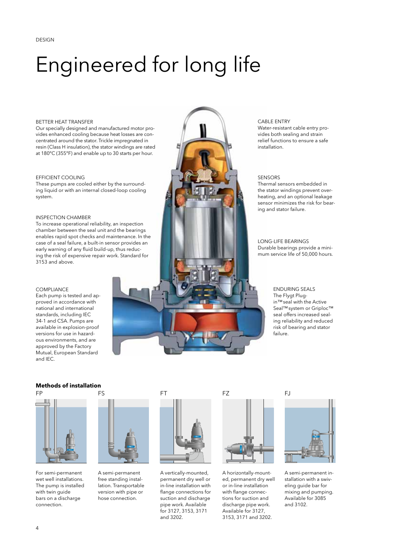## Engineered for long life

### BETTER HEAT TRANSFER

Our specially designed and manufactured motor provides enhanced cooling because heat losses are concentrated around the stator. Trickle impregnated in resin (Class H insulation), the stator windings are rated at 180°C (355°F) and enable up to 30 starts per hour.

### EFFICIENT COOLING

These pumps are cooled either by the surrounding liquid or with an internal closed-loop cooling system.

### INSPECTION CHAMBER

To increase operational reliability, an inspection chamber between the seal unit and the bearings enables rapid spot checks and maintenance. In the case of a seal failure, a built-in sensor provides an early warning of any fluid build-up, thus reducing the risk of expensive repair work. Standard for 3153 and above.

### compliance

Each pump is tested and approved in accordance with national and international standards, including IEC 34-1 and CSA. Pumps are available in explosion-proof versions for use in hazardous environments, and are approved by the Factory Mutual, European Standard and IEC.





For semi-permanent wet well installations. The pump is installed with twin guide bars on a discharge connection.



A semi-permanent free standing installation. Transportable version with pipe or hose connection.



A vertically-mounted, permanent dry well or in-line installation with flange connections for suction and discharge pipe work. Available for 3127, 3153, 3171 and 3202.



A horizontally-mounted, permanent dry well or in-line installation with flange connections for suction and discharge pipe work. Available for 3127, 3153, 3171 and 3202.

## Cable entry

Water-resistant cable entry provides both sealing and strain relief functions to ensure a safe installation.

### **SENSORS**

Thermal sensors embedded in the stator windings prevent overheating, and an optional leakage sensor minimizes the risk for bearing and stator failure.

### Long-life bearings Durable bearings provide a minimum service life of 50,000 hours.

ENDURING SEALS The Flygt Plugin™seal with the Active Seal™system or Griploc™ seal offers increased sealing reliability and reduced risk of bearing and stator failure.

A semi-permanent installation with a swiveling guide bar for mixing and pumping. Available for 3085 and 3102.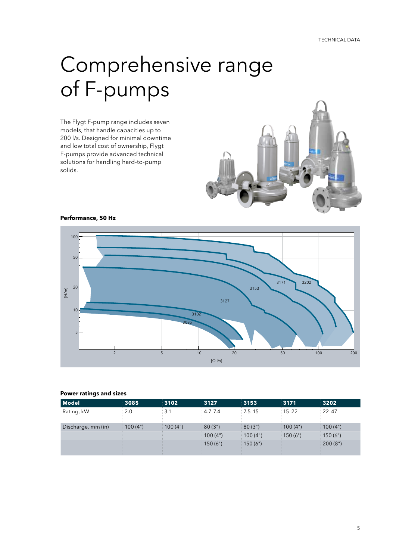## Comprehensive range of F-pumps

The Flygt F-pump range includes seven models, that handle capacities up to 200 l/s. Designed for minimal downtime and low total cost of ownership, Flygt F-pumps provide advanced technical solutions for handling hard-to-pump solids.



**Performance, 50 Hz**



### **Power ratings and sizes**

| Model              | 3085              | 3102              | 3127                  | 3153                   | 3171            | 3202                |
|--------------------|-------------------|-------------------|-----------------------|------------------------|-----------------|---------------------|
| Rating, kW         | $\frac{1}{2}$ 2.0 | $\frac{1}{2}$ 3.1 | $\frac{1}{2}$ 4.7-7.4 | $:7.5-15$              | $\div$ 15-22    | $\frac{1}{2}$ 22-47 |
| Discharge, mm (in) | 100(4")           | $\div$ 100 (4")   | $\frac{1}{2}$ 80 (3") | (3")                   | $\div$ 100 (4") | $\div$ 100 (4")     |
|                    |                   |                   | $\div$ 100 (4")       | $\pm 100(4")$          | $\pm 150(6")$   | $\pm 150(6")$       |
|                    |                   |                   | $\div$ 150 (6")       | $\frac{1}{2}$ 150 (6") |                 | (200(8")            |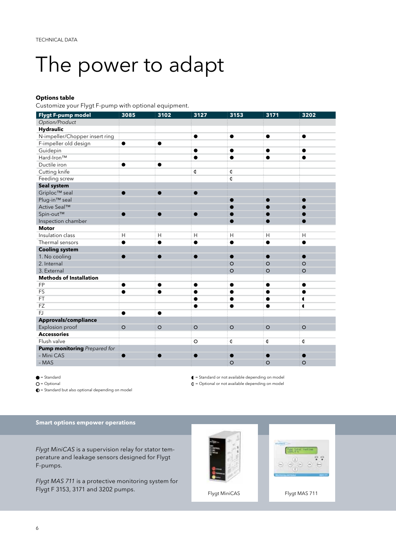## The power to adapt

## **Options table**

Customize your Flygt F-pump with optional equipment.

| Flygt F-pump model             | 3085      | 3102      | $\overline{3127}$ | $\overline{3153}$ | 3171      | 3202      |
|--------------------------------|-----------|-----------|-------------------|-------------------|-----------|-----------|
| Option/Product                 |           |           |                   |                   |           |           |
| <b>Hydraulic</b>               |           |           |                   |                   |           |           |
| N-impeller/Chopper insert ring |           |           | $\bullet$         | $\bullet$         | $\bullet$ | $\bullet$ |
| F-impeller old design          | $\bullet$ | $\bullet$ |                   |                   |           |           |
| Guidepin                       |           |           | ●                 | $\bullet$         | ●         | $\bullet$ |
| Hard-Iron™                     |           |           | $\bullet$         | $\bullet$         |           |           |
| Ductile iron                   | $\bullet$ | $\bullet$ |                   |                   |           |           |
| Cutting knife                  |           |           | d                 | q                 |           |           |
| Feeding screw                  |           |           |                   | $\overline{a}$    |           |           |
| Seal system                    |           |           |                   |                   |           |           |
| Griploc™ seal                  |           |           |                   |                   |           |           |
| Plug-in <sup>™</sup> seal      |           |           |                   |                   |           |           |
| Active Seal™                   |           |           |                   |                   |           |           |
| Spin-out™                      | $\bullet$ |           | ●                 |                   |           |           |
| Inspection chamber             |           |           |                   |                   | D         | ●         |
| <b>Motor</b>                   |           |           |                   |                   |           |           |
| Insulation class               | H         | H         | H                 | H                 | H         | H         |
| Thermal sensors                | $\bullet$ | ●         |                   | $\bullet$         |           |           |
| <b>Cooling system</b>          |           |           |                   |                   |           |           |
| 1. No cooling                  | $\bullet$ | $\bullet$ |                   |                   |           |           |
| 2. Internal                    |           |           |                   | $\circ$           | $\circ$   | $\circ$   |
| 3. External                    |           |           |                   | $\circ$           | $\circ$   | $\circ$   |
| <b>Methods of Installation</b> |           |           |                   |                   |           |           |
| FP                             | $\bullet$ | $\bullet$ | ●                 | ٠                 | ●         | $\bullet$ |
| FS                             |           |           |                   |                   |           |           |
| FT                             |           |           |                   |                   |           | 1         |
| FZ                             |           |           |                   |                   |           | 1         |
| FJ                             | $\bullet$ | ●         |                   |                   |           |           |
| Approvals/compliance           |           |           |                   |                   |           |           |
| Explosion proof                | $\circ$   | $\circ$   | $\circ$           | $\circ$           | $\circ$   | $\circ$   |
| <b>Accessories</b>             |           |           |                   |                   |           |           |
| Flush valve                    |           |           | $\circ$           | O                 | q         | q         |
| Pump monitoring Prepared for   |           |           |                   |                   |           |           |
| - Mini CAS                     |           |           |                   |                   |           |           |
| $-MAS$                         |           |           |                   | $\circ$           | $\circ$   | $\circ$   |

 $\bullet$  = Standard

 $O =$  Optional

 $\mathbf{D}$  = Standard but also optional depending on model

**Smart options empower operations**

*Flygt MiniCAS* is a supervision relay for stator temperature and leakage sensors designed for Flygt F-pumps.

*Flygt MAS 711* is a protective monitoring system for Flygt F 3153, 3171 and 3202 pumps.

 = Standard or not available depending on model  $\mathbf{Q}$  = Optional or not available depending on model

Flygt MiniCAS Flygt MAS 711

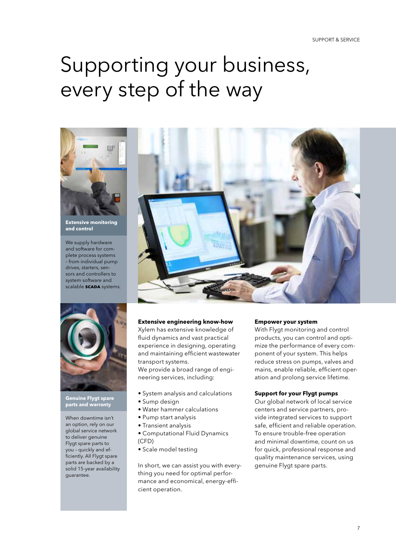## Supporting your business, every step of the way



**Extensive monitoring and control**

We supply hardware and software for complete process systems – from individual pump drives, starters, sensors and controllers to system software and scalable **scada** systems.



**Genuine Flygt spare parts and warranty**

When downtime isn't an option, rely on our global service network to deliver genuine Flygt spare parts to you – quickly and efficiently. All Flygt spare parts are backed by a solid 15-year availability guarantee.



## **Extensive engineering know-how**

Xylem has extensive knowledge of fluid dynamics and vast practical experience in designing, operating and maintaining efficient wastewater transport systems.

We provide a broad range of engineering services, including:

- System analysis and calculations
- Sump design
- Water hammer calculations
- Pump start analysis
- Transient analysis
- Computational Fluid Dynamics (CFD)
- Scale model testing

In short, we can assist you with everything you need for optimal performance and economical, energy-efficient operation.

## **Empower your system**

With Flygt monitoring and control products, you can control and optimize the performance of every component of your system. This helps reduce stress on pumps, valves and mains, enable reliable, efficient operation and prolong service lifetime.

## **Support for your Flygt pumps**

Our global network of local service centers and service partners, provide integrated services to support safe, efficient and reliable operation. To ensure trouble-free operation and minimal downtime, count on us for quick, professional response and quality maintenance services, using genuine Flygt spare parts.